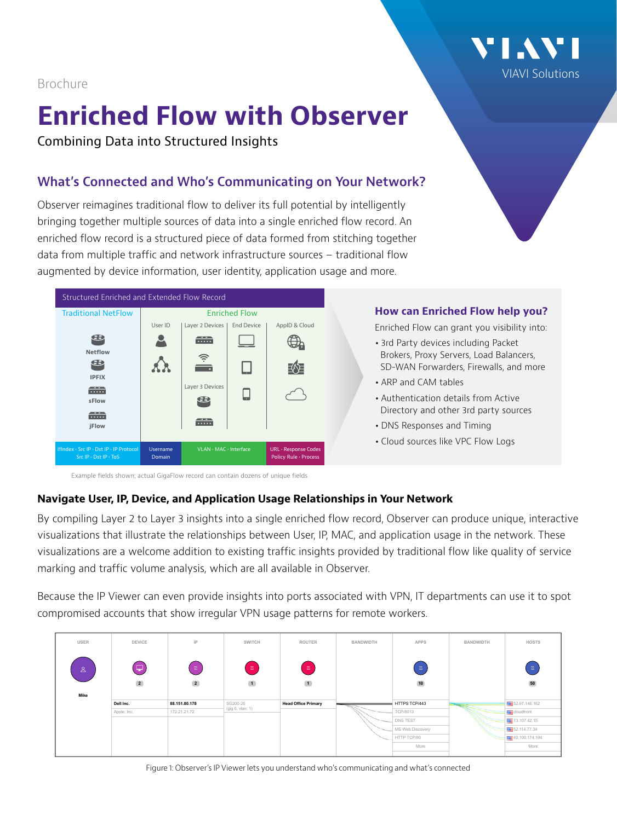[VIAVI Solutions](http://www.viavisolutions.com)

## Brochure

# **Enriched Flow with Observer**

Combining Data into Structured Insights

# **What's Connected and Who's Communicating on Your Network?**

Observer reimagines traditional flow to deliver its full potential by intelligently bringing together multiple sources of data into a single enriched flow record. An enriched flow record is a structured piece of data formed from stitching together data from multiple traffic and network infrastructure sources – traditional flow augmented by device information, user identity, application usage and more.



## **How can Enriched Flow help you?**

Enriched Flow can grant you visibility into:

- **•** 3rd Party devices including Packet Brokers, Proxy Servers, Load Balancers, SD-WAN Forwarders, Firewalls, and more
- **•** ARP and CAM tables
- **•** Authentication details from Active Directory and other 3rd party sources
- **•** DNS Responses and Timing
- **•** Cloud sources like VPC Flow Logs

Example fields shown; actual GigaFlow record can contain dozens of unique fields

## **Navigate User, IP, Device, and Application Usage Relationships in Your Network**

By compiling Layer 2 to Layer 3 insights into a single enriched flow record, Observer can produce unique, interactive visualizations that illustrate the relationships between User, IP, MAC, and application usage in the network. These visualizations are a welcome addition to existing traffic insights provided by traditional flow like quality of service marking and traffic volume analysis, which are all available in Observer.

Because the IP Viewer can even provide insights into ports associated with VPN, IT departments can use it to spot compromised accounts that show irregular VPN usage patterns for remote workers.

| USER                                | <b>DEVICE</b>    | IP                                  | <b>SWITCH</b>                | <b>ROUTER</b>              | BANDWIDTH | APPS             | BANDWIDTH | <b>HOSTS</b>          |
|-------------------------------------|------------------|-------------------------------------|------------------------------|----------------------------|-----------|------------------|-----------|-----------------------|
| $\mathcal{S}_{\mathcal{A}}$<br>Mike | e<br>$\boxed{2}$ | $\equiv$<br>$\overline{\mathbf{2}}$ | $\equiv$<br>$\boxed{1}$      | $\equiv$<br>$\blacksquare$ |           | Ξ<br>10          |           | $\equiv$<br>50        |
|                                     | Dell Inc.        | 88.151.80.178                       | SG200-26<br>(gig 6, vlan: 1) | <b>Head Office Primary</b> |           | HTTPS TCP/443    |           | 52.97.146.162         |
|                                     | Apple, Inc.      | 172.21.21.72                        |                              |                            |           | <b>TCP/8013</b>  |           | <b>REE</b> cloudfront |
|                                     |                  |                                     |                              |                            |           | DNS TEST         |           | ■ 13.107.42.15        |
|                                     |                  |                                     |                              |                            |           | MS Web Discovery |           | 52.114.77.34          |
|                                     |                  |                                     |                              |                            |           | HTTP TCP/80      |           | 40.100.174.194        |
|                                     |                  |                                     |                              |                            |           | More             |           | More                  |

Figure 1: Observer's IP Viewer lets you understand who's communicating and what's connected